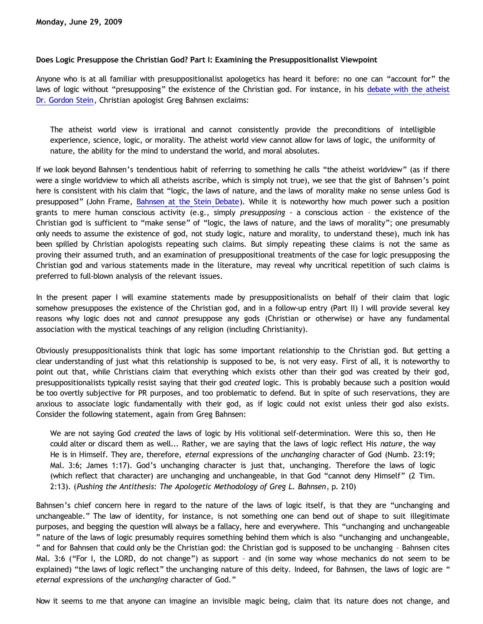### **Does Logic Presuppose the Christian God? Part I: Examining the Presuppositionalist Viewpoint**

Anyone who is at all familiar with presuppositionalist apologetics has heard it before: no one can "account for" the laws of logic without "presupposing" the existence of the Christian god. For instance, in his [debate with the atheist](http://www.bellevuechristian.org/faculty/dribera/htdocs/PDFs/Apol_Bahnsen_Stein_Debate_Transcript.pdf) [Dr. Gordon Stein](http://www.bellevuechristian.org/faculty/dribera/htdocs/PDFs/Apol_Bahnsen_Stein_Debate_Transcript.pdf), Christian apologist Greg Bahnsen exclaims:

The atheist world view is irrational and cannot consistently provide the preconditions of intelligible experience, science, logic, or morality. The atheist world view cannot allow for laws of logic, the uniformity of nature, the ability for the mind to understand the world, and moral absolutes.

If we look beyond Bahnsen's tendentious habit of referring to something he calls "the atheist worldview" (as if there were a single worldview to which all atheists ascribe, which is simply not true), we see that the gist of Bahnsen's point here is consistent with his claim that "logic, the laws of nature, and the laws of morality make no sense unless God is presupposed" (John Frame, [Bahnsen at the Stein Debate\)](http://www.frame-poythress.org/frame_articles/Bahnsen.htm). While it is noteworthy how much power such a position grants to mere human conscious activity (e.g., simply *presupposing* - a conscious action – the existence of the Christian god is sufficient to "make sense" of "logic, the laws of nature, and the laws of morality"; one presumably only needs to assume the existence of god, not study logic, nature and morality, to understand these), much ink has been spilled by Christian apologists repeating such claims. But simply repeating these claims is not the same as proving their assumed truth, and an examination of presuppositional treatments of the case for logic presupposing the Christian god and various statements made in the literature, may reveal why uncritical repetition of such claims is preferred to full-blown analysis of the relevant issues.

In the present paper I will examine statements made by presuppositionalists on behalf of their claim that logic somehow presupposes the existence of the Christian god, and in a follow-up entry (Part II) I will provide several key reasons why logic does not and *cannot* presuppose any gods (Christian or otherwise) or have any fundamental association with the mystical teachings of any religion (including Christianity).

Obviously presuppositionalists think that logic has some important relationship to the Christian god. But getting a clear understanding of just what this relationship is supposed to be, is not very easy. First of all, it is noteworthy to point out that, while Christians claim that everything which exists other than their god was created by their god, presuppositionalists typically resist saying that their god *created* logic. This is probably because such a position would be too overtly subjective for PR purposes, and too problematic to defend. But in spite of such reservations, they are anxious to associate logic fundamentally with their god, as if logic could not exist unless their god also exists. Consider the following statement, again from Greg Bahnsen:

We are not saying God *created* the laws of logic by His volitional self-determination. Were this so, then He could alter or discard them as well... Rather, we are saying that the laws of logic reflect His *nature*, the way He is in Himself. They are, therefore, *eternal* expressions of the *unchanging* character of God (Numb. 23:19; Mal. 3:6; James 1:17). God's unchanging character is just that, unchanging. Therefore the laws of logic (which reflect that character) are unchanging and unchangeable, in that God "cannot deny Himself" (2 Tim. 2:13). (*Pushing the Antithesis: The Apologetic Methodology of Greg L. Bahnsen*, p. 210)

Bahnsen's chief concern here in regard to the nature of the laws of logic itself, is that they are "unchanging and unchangeable." The law of identity, for instance, is not something one can bend out of shape to suit illegitimate purposes, and begging the question will always be a fallacy, here and everywhere. This "unchanging and unchangeable " nature of the laws of logic presumably requires something behind them which is also "unchanging and unchangeable, " and for Bahnsen that could only be the Christian god: the Christian god is supposed to be unchanging – Bahnsen cites Mal. 3:6 ("For I, the LORD, do not change") as support – and (in some way whose mechanics do not seem to be explained) "the laws of logic reflect" the unchanging nature of this deity. Indeed, for Bahnsen, the laws of logic are " *eternal* expressions of the *unchanging* character of God."

Now it seems to me that anyone can imagine an invisible magic being, claim that its nature does not change, and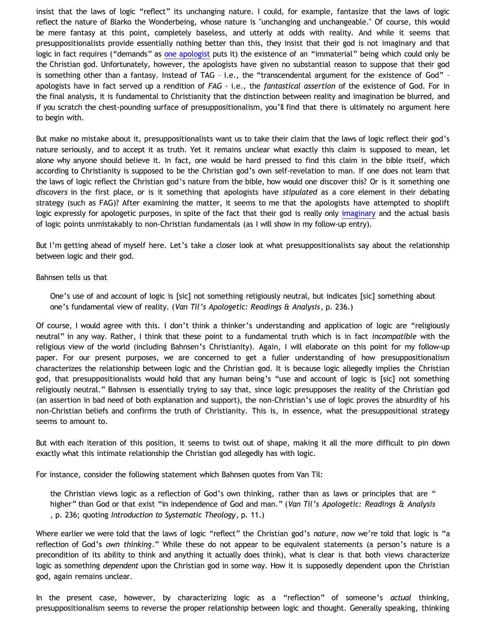insist that the laws of logic "reflect" its unchanging nature. I could, for example, fantasize that the laws of logic reflect the nature of Blarko the Wonderbeing, whose nature is "unchanging and unchangeable." Of course, this would be mere fantasy at this point, completely baseless, and utterly at odds with reality. And while it seems that presuppositionalists provide essentially nothing better than this, they insist that their god is not imaginary and that logic in fact requires ("demands" as [one apologist](http://calvindude.com/index.php?id=51) puts it) the existence of an "immaterial" being which could only be the Christian god. Unfortunately, however, the apologists have given no substantial reason to suppose that their god is something other than a fantasy. Instead of TAG – i.e., the "transcendental argument for the existence of God" – apologists have in fact served up a rendition of *FAG* - i.e., the *fantastical assertion* of the existence of God. For in the final analysis, it is fundamental to Christianity that the distinction between reality and imagination be blurred, and if you scratch the chest-pounding surface of presuppositionalism, you'll find that there is ultimately no argument here to begin with.

But make no mistake about it, presuppositionalists want us to take their claim that the laws of logic reflect their god's nature seriously, and to accept it as truth. Yet it remains unclear what exactly this claim is supposed to mean, let alone why anyone should believe it. In fact, one would be hard pressed to find this claim in the bible itself, which according to Christianity is supposed to be the Christian god's own self-revelation to man. If one does not learn that the laws of logic reflect the Christian god's nature from the bible, how would one discover this? Or is it something one *discovers* in the first place, or is it something that apologists have *stipulated* as a core element in their debating strategy (such as FAG)? After examining the matter, it seems to me that the apologists have attempted to shoplift logic expressly for apologetic purposes, in spite of the fact that their god is really only [imaginary](http://bahnsenburner.blogspot.com/2009/06/is-immaterial-actually-imaginary.html) and the actual basis of logic points unmistakably to non-Christian fundamentals (as I will show in my follow-up entry).

But I'm getting ahead of myself here. Let's take a closer look at what presuppositionalists say about the relationship between logic and their god.

### Bahnsen tells us that

One's use of and account of logic is [sic] not something religiously neutral, but indicates [sic] something about one's fundamental view of reality. (*Van Til's Apologetic: Readings & Analysis*, p. 236.)

Of course, I would agree with this. I don't think a thinker's understanding and application of logic are "religiously neutral" in any way. Rather, I think that these point to a fundamental truth which is in fact *incompatible* with the religious view of the world (including Bahnsen's Christianity). Again, I will elaborate on this point for my follow-up paper. For our present purposes, we are concerned to get a fuller understanding of how presuppositionalism characterizes the relationship between logic and the Christian god. It is because logic allegedly implies the Christian god, that presuppositionalists would hold that any human being's "use and account of logic is [sic] not something religiously neutral." Bahnsen is essentially trying to say that, since logic presupposes the reality of the Christian god (an assertion in bad need of both explanation and support), the non-Christian's use of logic proves the absurdity of his non-Christian beliefs and confirms the truth of Christianity. This is, in essence, what the presuppositional strategy seems to amount to.

But with each iteration of this position, it seems to twist out of shape, making it all the more difficult to pin down exactly what this intimate relationship the Christian god allegedly has with logic.

For instance, consider the following statement which Bahnsen quotes from Van Til:

the Christian views logic as a reflection of God's own thinking, rather than as laws or principles that are " higher" than God or that exist "in independence of God and man." (*Van Til's Apologetic: Readings & Analysis* , p. 236; quoting *Introduction to Systematic Theology*, p. 11.)

Where earlier we were told that the laws of logic "reflect" the Christian god's *nature*, now we're told that logic is "a reflection of God's *own thinking*." While these do not appear to be equivalent statements (a person's nature is a precondition of its ability to think and anything it actually does think), what is clear is that both views characterize logic as something *dependent* upon the Christian god in some way. How it is supposedly dependent upon the Christian god, again remains unclear.

In the present case, however, by characterizing logic as a "reflection" of someone's *actual* thinking, presuppositionalism seems to reverse the proper relationship between logic and thought. Generally speaking, thinking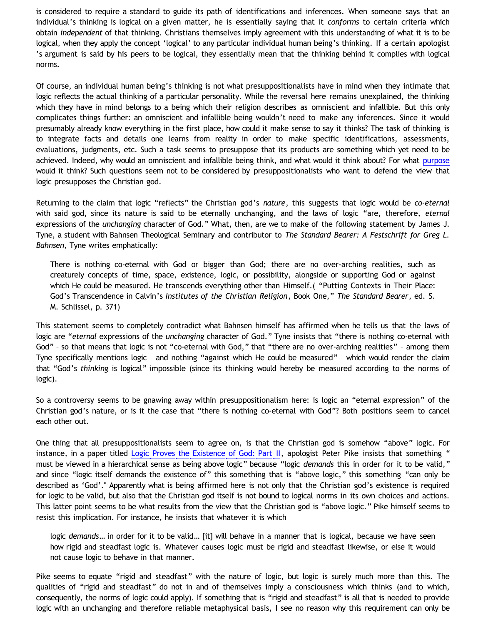is considered to require a standard to guide its path of identifications and inferences. When someone says that an individual's thinking is logical on a given matter, he is essentially saying that it *conforms* to certain criteria which obtain *independent* of that thinking. Christians themselves imply agreement with this understanding of what it is to be logical, when they apply the concept 'logical' to any particular individual human being's thinking. If a certain apologist 's argument is said by his peers to be logical, they essentially mean that the thinking behind it complies with logical norms.

Of course, an individual human being's thinking is not what presuppositionalists have in mind when they intimate that logic reflects the actual thinking of a particular personality. While the reversal here remains unexplained, the thinking which they have in mind belongs to a being which their religion describes as omniscient and infallible. But this only complicates things further: an omniscient and infallible being wouldn't need to make any inferences. Since it would presumably already know everything in the first place, how could it make sense to say it thinks? The task of thinking is to integrate facts and details one learns from reality in order to make specific identifications, assessments, evaluations, judgments, etc. Such a task seems to presuppose that its products are something which yet need to be achieved. Indeed, why would an omniscient and infallible being think, and what would it think about? For what [purpose](http://bahnsenburner.blogspot.com/2009/06/theistic-misuse-of-concepts-of-meaning.html) would it think? Such questions seem not to be considered by presuppositionalists who want to defend the view that logic presupposes the Christian god.

Returning to the claim that logic "reflects" the Christian god's *nature*, this suggests that logic would be *co-eternal* with said god, since its nature is said to be eternally unchanging, and the laws of logic "are, therefore, *eternal* expressions of the *unchanging* character of God." What, then, are we to make of the following statement by James J. Tyne, a student with Bahnsen Theological Seminary and contributor to *The Standard Bearer: A Festschrift for Greg L. Bahnsen,* Tyne writes emphatically:

There is nothing co-eternal with God or bigger than God; there are no over-arching realities, such as creaturely concepts of time, space, existence, logic, or possibility, alongside or supporting God or against which He could be measured. He transcends everything other than Himself.( "Putting Contexts in Their Place: God's Transcendence in Calvin's *Institutes of the Christian Religion*, Book One," *The Standard Bearer*, ed. S. M. Schlissel, p. 371)

This statement seems to completely contradict what Bahnsen himself has affirmed when he tells us that the laws of logic are "*eternal* expressions of the *unchanging* character of God." Tyne insists that "there is nothing co-eternal with God" – so that means that logic is not "co-eternal with God," that "there are no over-arching realities" – among them Tyne specifically mentions logic – and nothing "against which He could be measured" – which would render the claim that "God's *thinking* is logical" impossible (since its thinking would hereby be measured according to the norms of logic).

So a controversy seems to be gnawing away within presuppositionalism here: is logic an "eternal expression" of the Christian god's nature, or is it the case that "there is nothing co-eternal with God"? Both positions seem to cancel each other out.

One thing that all presuppositionalists seem to agree on, is that the Christian god is somehow "above" logic. For instance, in a paper titled [Logic Proves the Existence of God: Part II](http://calvindude.com/index.php?id=52), apologist Peter Pike insists that something " must be viewed in a hierarchical sense as being above logic" because "logic *demands* this in order for it to be valid," and since "logic itself demands the existence of" this something that is "above logic," this something "can only be described as 'God'." Apparently what is being affirmed here is not only that the Christian god's existence is required for logic to be valid, but also that the Christian god itself is not bound to logical norms in its own choices and actions. This latter point seems to be what results from the view that the Christian god is "above logic." Pike himself seems to resist this implication. For instance, he insists that whatever it is which

logic *demands*… in order for it to be valid… [it] will behave in a manner that is logical, because we have seen how rigid and steadfast logic is. Whatever causes logic must be rigid and steadfast likewise, or else it would not cause logic to behave in that manner.

Pike seems to equate "rigid and steadfast" with the nature of logic, but logic is surely much more than this. The qualities of "rigid and steadfast" do not in and of themselves imply a consciousness which thinks (and to which, consequently, the norms of logic could apply). If something that is "rigid and steadfast" is all that is needed to provide logic with an unchanging and therefore reliable metaphysical basis, I see no reason why this requirement can only be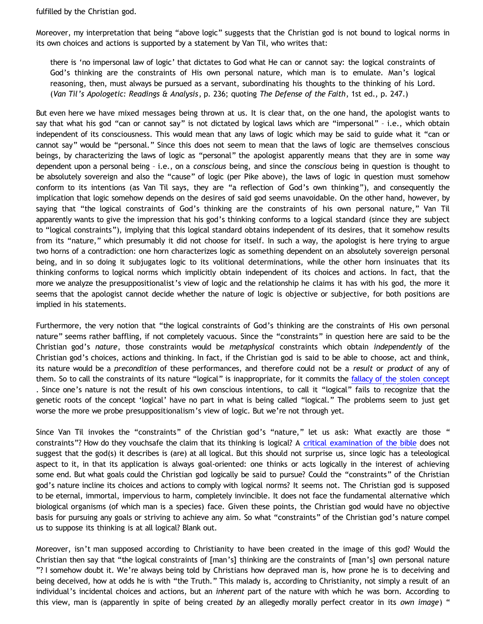fulfilled by the Christian god.

Moreover, my interpretation that being "above logic" suggests that the Christian god is not bound to logical norms in its own choices and actions is supported by a statement by Van Til, who writes that:

there is 'no impersonal law of logic' that dictates to God what He can or cannot say: the logical constraints of God's thinking are the constraints of His own personal nature, which man is to emulate. Man's logical reasoning, then, must always be pursued as a servant, subordinating his thoughts to the thinking of his Lord. (*Van Til's Apologetic: Readings & Analysis*, p. 236; quoting *The Defense of the Faith*, 1st ed., p. 247.)

But even here we have mixed messages being thrown at us. It is clear that, on the one hand, the apologist wants to say that what his god "can or cannot say" is not dictated by logical laws which are "impersonal" – i.e., which obtain independent of its consciousness. This would mean that any laws of logic which may be said to guide what it "can or cannot say" would be "personal." Since this does not seem to mean that the laws of logic are themselves conscious beings, by characterizing the laws of logic as "personal" the apologist apparently means that they are in some way dependent upon a personal being – i.e., on a *conscious* being, and since the *conscious* being in question is thought to be absolutely sovereign and also the "cause" of logic (per Pike above), the laws of logic in question must somehow conform to its intentions (as Van Til says, they are "a reflection of God's own thinking"), and consequently the implication that logic somehow depends on the desires of said god seems unavoidable. On the other hand, however, by saying that "the logical constraints of God's thinking are the constraints of his own personal nature," Van Til apparently wants to give the impression that his god's thinking conforms to a logical standard (since they are subject to "logical constraints"), implying that this logical standard obtains independent of its desires, that it somehow results from its "nature," which presumably it did not choose for itself. In such a way, the apologist is here trying to argue two horns of a contradiction: one horn characterizes logic as something dependent on an absolutely sovereign personal being, and in so doing it subjugates logic to its volitional determinations, while the other horn insinuates that its thinking conforms to logical norms which implicitly obtain independent of its choices and actions. In fact, that the more we analyze the presuppositionalist's view of logic and the relationship he claims it has with his god, the more it seems that the apologist cannot decide whether the nature of logic is objective or subjective, for both positions are implied in his statements.

Furthermore, the very notion that "the logical constraints of God's thinking are the constraints of His own personal nature" seems rather baffling, if not completely vacuous. Since the "constraints" in question here are said to be the Christian god's *nature*, those constraints would be *metaphysical* constraints which obtain *independently* of the Christian god's choices, actions and thinking. In fact, if the Christian god is said to be able to choose, act and think, its nature would be a *precondition* of these performances, and therefore could not be a *result* or *product* of any of them. So to call the constraints of its nature "logical" is inappropriate, for it commits the [fallacy of the stolen concept](http://bahnsenburner.blogspot.com/2008/06/stolen-concepts-and-intellectual.html) . Since one's nature is not the result of his own conscious intentions, to call it "logical" fails to recognize that the genetic roots of the concept 'logical' have no part in what is being called "logical." The problems seem to just get worse the more we probe presuppositionalism's view of logic. But we're not through yet.

Since Van Til invokes the "constraints" of the Christian god's "nature," let us ask: What exactly are those " constraints"? How do they vouchsafe the claim that its thinking is logical? A [critical examination of the bible](http://www.infidels.org/library/modern/donald_morgan/) does not suggest that the god(s) it describes is (are) at all logical. But this should not surprise us, since logic has a teleological aspect to it, in that its application is always goal-oriented: one thinks or acts logically in the interest of achieving some end. But what goals could the Christian god logically be said to pursue? Could the "constraints" of the Christian god's nature incline its choices and actions to comply with logical norms? It seems not. The Christian god is supposed to be eternal, immortal, impervious to harm, completely invincible. It does not face the fundamental alternative which biological organisms (of which man is a species) face. Given these points, the Christian god would have no objective basis for pursuing any goals or striving to achieve any aim. So what "constraints" of the Christian god's nature compel us to suppose its thinking is at all logical? Blank out.

Moreover, isn't man supposed according to Christianity to have been created in the image of this god? Would the Christian then say that "the logical constraints of [man's] thinking are the constraints of [man's] own personal nature "? I somehow doubt it. We're always being told by Christians how depraved man is, how prone he is to deceiving and being deceived, how at odds he is with "the Truth." This malady is, according to Christianity, not simply a result of an individual's incidental choices and actions, but an *inherent* part of the nature with which he was born. According to this view, man is (apparently in spite of being created *by* an allegedly morally perfect creator in its *own image*) "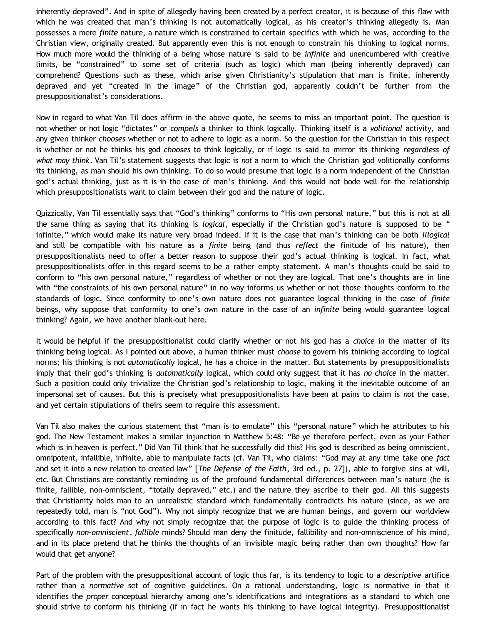inherently depraved". And in spite of allegedly having been created by a perfect creator, it is because of this flaw with which he was created that man's thinking is not automatically logical, as his creator's thinking allegedly is. Man possesses a mere *finite* nature, a nature which is constrained to certain specifics with which he was, according to the Christian view, originally created. But apparently even this is not enough to constrain his thinking to logical norms. How much more would the thinking of a being whose nature is said to be *infinite* and unencumbered with creative limits, be "constrained" to some set of criteria (such as logic) which man (being inherently depraved) can comprehend? Questions such as these, which arise given Christianity's stipulation that man is finite, inherently depraved and yet "created in the image" of the Christian god, apparently couldn't be further from the presuppositionalist's considerations.

Now in regard to what Van Til does affirm in the above quote, he seems to miss an important point. The question is not whether or not logic "dictates" or *compels* a thinker to think logically. Thinking itself is a *volitional* activity, and any given thinker *chooses* whether or not to adhere to logic as a norm. So the question for the Christian in this respect is whether or not he thinks his god *chooses* to think logically, or if logic is said to mirror its thinking *regardless of what may think*. Van Til's statement suggests that logic is *not* a norm to which the Christian god volitionally conforms its thinking, as man should his own thinking. To do so would presume that logic is a norm independent of the Christian god's actual thinking, just as it is in the case of man's thinking. And this would not bode well for the relationship which presuppositionalists want to claim between their god and the nature of logic.

Quizzically, Van Til essentially says that "God's thinking" conforms to "His own personal nature," but this is not at all the same thing as saying that its thinking is *logical*, especially if the Christian god's nature is supposed to be " infinite," which would make its nature very broad indeed. If it is the case that man's thinking can be both *illogical* and still be compatible with his nature as a *finite* being (and thus *reflect* the finitude of his nature), then presuppositionalists need to offer a better reason to suppose their god's actual thinking is logical. In fact, what presuppositionalists offer in this regard seems to be a rather empty statement. A man's thoughts could be said to conform to "his own personal nature," regardless of whether or not they are logical. That one's thoughts are in line with "the constraints of his own personal nature" in no way informs us whether or not those thoughts conform to the standards of logic. Since conformity to one's own nature does not guarantee logical thinking in the case of *finite* beings, why suppose that conformity to one's own nature in the case of an *infinite* being would guarantee logical thinking? Again, we have another blank-out here.

It would be helpful if the presuppositionalist could clarify whether or not his god has a *choice* in the matter of its thinking being logical. As I pointed out above, a human thinker must *choose* to govern his thinking according to logical norms; his thinking is not *automatically* logical, he has a choice in the matter. But statements by presuppositionalists imply that their god's thinking is *automatically* logical, which could only suggest that it has *no choice* in the matter. Such a position could only trivialize the Christian god's relationship to logic, making it the inevitable outcome of an impersonal set of causes. But this is precisely what presuppositionalists have been at pains to claim is *not* the case, and yet certain stipulations of theirs seem to require this assessment.

Van Til also makes the curious statement that "man is to emulate" this "personal nature" which he attributes to his god. The New Testament makes a similar injunction in Matthew 5:48: "Be ye therefore perfect, even as your Father which is in heaven is perfect." Did Van Til think that he successfully did this? His god is described as being omniscient, omnipotent, infallible, infinite, able to manipulate facts (cf. Van Til, who claims: "God may at any time take one *fact* and set it into a new relation to created law" [*The Defense of the Faith*, 3rd ed., p. 27]), able to forgive sins at will, etc. But Christians are constantly reminding us of the profound fundamental differences between man's nature (he is finite, fallible, non-omniscient, "totally depraved," etc.) and the nature they ascribe to their god. All this suggests that Christianity holds man to an unrealistic standard which fundamentally contradicts his nature (since, as we are repeatedly told, man is "not God"). Why not simply recognize that we are human beings, and govern our worldview according to this fact? And why not simply recognize that the purpose of logic is to guide the thinking process of specifically *non-omniscient*, *fallible* minds? Should man deny the finitude, fallibility and non-omniscience of his mind, and in its place pretend that he thinks the thoughts of an invisible magic being rather than own thoughts? How far would that get anyone?

Part of the problem with the presuppositional account of logic thus far, is its tendency to logic to a *descriptive* artifice rather than a *normative* set of cognitive guidelines. On a rational understanding, logic is normative in that it identifies the *proper* conceptual hierarchy among one's identifications and integrations as a standard to which one should strive to conform his thinking (if in fact he wants his thinking to have logical integrity). Presuppositionalist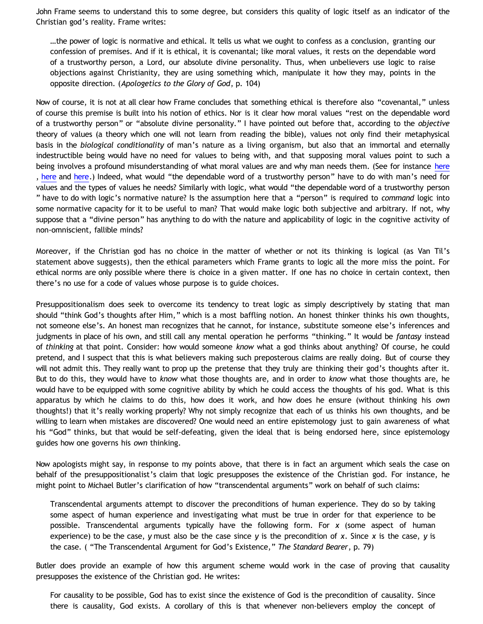John Frame seems to understand this to some degree, but considers this quality of logic itself as an indicator of the Christian god's reality. Frame writes:

…the power of logic is normative and ethical. It tells us what we ought to confess as a conclusion, granting our confession of premises. And if it is ethical, it is covenantal; like moral values, it rests on the dependable word of a trustworthy person, a Lord, our absolute divine personality. Thus, when unbelievers use logic to raise objections against Christianity, they are using something which, manipulate it how they may, points in the opposite direction. (*Apologetics to the Glory of God*, p. 104)

Now of course, it is not at all clear how Frame concludes that something ethical is therefore also "covenantal," unless of course this premise is built into his notion of ethics. Nor is it clear how moral values "rest on the dependable word of a trustworthy person" or "absolute divine personality." I have pointed out before that, according to the *objective* theory of values (a theory which one will not learn from reading the bible), values not only find their metaphysical basis in the *biological conditionality* of man's nature as a living organism, but also that an immortal and eternally indestructible being would have no need for values to being with, and that supposing moral values point to such a being involves a profound misunderstanding of what moral values are and why man needs them. (See for instance [here](http://bahnsenburner.blogspot.com/2005/04/do-i-borrow-my-morality-from-christian.html) , [here](http://bahnsenburner.blogspot.com/2006/03/rational-morality-vs-presuppositional.html) and [here](http://bahnsenburner.blogspot.com/2009/06/theistic-misuse-of-concepts-of-meaning.html).) Indeed, what would "the dependable word of a trustworthy person" have to do with man's need for values and the types of values he needs? Similarly with logic, what would "the dependable word of a trustworthy person " have to do with logic's normative nature? Is the assumption here that a "person" is required to *command* logic into some normative capacity for it to be useful to man? That would make logic both subjective and arbitrary. If not, why suppose that a "divine person" has anything to do with the nature and applicability of logic in the cognitive activity of non-omniscient, fallible minds?

Moreover, if the Christian god has no choice in the matter of whether or not its thinking is logical (as Van Til's statement above suggests), then the ethical parameters which Frame grants to logic all the more miss the point. For ethical norms are only possible where there is choice in a given matter. If one has no choice in certain context, then there's no use for a code of values whose purpose is to guide choices.

Presuppositionalism does seek to overcome its tendency to treat logic as simply descriptively by stating that man should "think God's thoughts after Him," which is a most baffling notion. An honest thinker thinks his own thoughts, not someone else's. An honest man recognizes that he cannot, for instance, substitute someone else's inferences and judgments in place of his own, and still call any mental operation he performs "thinking." It would be *fantasy* instead of *thinking* at that point. Consider: how would someone *know* what a god thinks about anything? Of course, he could pretend, and I suspect that this is what believers making such preposterous claims are really doing. But of course they will not admit this. They really want to prop up the pretense that they truly are thinking their god's thoughts after it. But to do this, they would have to *know* what those thoughts are, and in order to *know* what those thoughts are, he would have to be equipped with some cognitive ability by which he could access the thoughts of his god. What is this apparatus by which he claims to do this, how does it work, and how does he ensure (without thinking his *own* thoughts!) that it's really working properly? Why not simply recognize that each of us thinks his own thoughts, and be willing to learn when mistakes are discovered? One would need an entire epistemology just to gain awareness of what his "God" thinks, but that would be self-defeating, given the ideal that is being endorsed here, since epistemology guides how one governs his *own* thinking.

Now apologists might say, in response to my points above, that there is in fact an argument which seals the case on behalf of the presuppositionalist's claim that logic presupposes the existence of the Christian god. For instance, he might point to Michael Butler's clarification of how "transcendental arguments" work on behalf of such claims:

Transcendental arguments attempt to discover the preconditions of human experience. They do so by taking some aspect of human experience and investigating what must be true in order for that experience to be possible. Transcendental arguments typically have the following form. For *x* (some aspect of human experience) to be the case, *y* must also be the case since *y* is the precondition of *x*. Since *x* is the case, *y* is the case. ( "The Transcendental Argument for God's Existence," *The Standard Bearer*, p. 79)

Butler does provide an example of how this argument scheme would work in the case of proving that causality presupposes the existence of the Christian god. He writes:

For causality to be possible, God has to exist since the existence of God is the precondition of causality. Since there is causality, God exists. A corollary of this is that whenever non-believers employ the concept of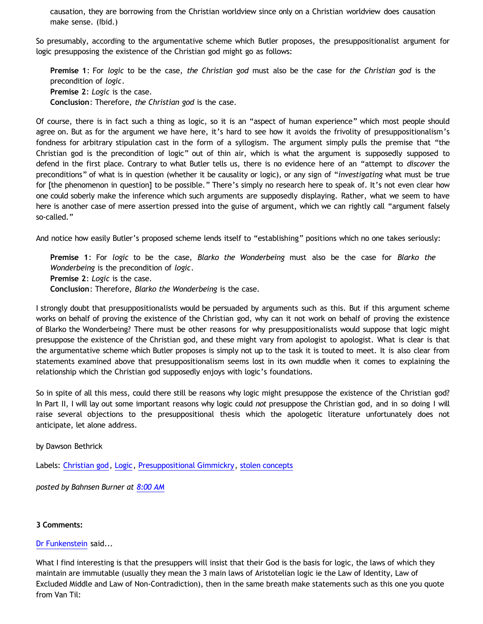causation, they are borrowing from the Christian worldview since only on a Christian worldview does causation make sense. (Ibid.)

So presumably, according to the argumentative scheme which Butler proposes, the presuppositionalist argument for logic presupposing the existence of the Christian god might go as follows:

**Premise 1**: For *logic* to be the case, *the Christian god* must also be the case for *the Christian god* is the precondition of *logic*. **Premise 2**: *Logic* is the case. **Conclusion**: Therefore, *the Christian god* is the case.

Of course, there is in fact such a thing as logic, so it is an "aspect of human experience" which most people should agree on. But as for the argument we have here, it's hard to see how it avoids the frivolity of presuppositionalism's fondness for arbitrary stipulation cast in the form of a syllogism. The argument simply pulls the premise that "the Christian god is the precondition of logic" out of thin air, which is what the argument is supposedly supposed to defend in the first place. Contrary to what Butler tells us, there is no evidence here of an "attempt to *discover* the preconditions" of what is in question (whether it be causality or logic), or any sign of "*investigating* what must be true for [the phenomenon in question] to be possible." There's simply no research here to speak of. It's not even clear how one could soberly make the inference which such arguments are supposedly displaying. Rather, what we seem to have here is another case of mere assertion pressed into the guise of argument, which we can rightly call "argument falsely so-called."

And notice how easily Butler's proposed scheme lends itself to "establishing" positions which no one takes seriously:

**Premise 1**: For *logic* to be the case, *Blarko the Wonderbeing* must also be the case for *Blarko the Wonderbeing* is the precondition of *logic*. **Premise 2**: *Logic* is the case. **Conclusion**: Therefore, *Blarko the Wonderbeing* is the case.

I strongly doubt that presuppositionalists would be persuaded by arguments such as this. But if this argument scheme works on behalf of proving the existence of the Christian god, why can it not work on behalf of proving the existence of Blarko the Wonderbeing? There must be other reasons for why presuppositionalists would suppose that logic might presuppose the existence of the Christian god, and these might vary from apologist to apologist. What is clear is that the argumentative scheme which Butler proposes is simply not up to the task it is touted to meet. It is also clear from statements examined above that presuppositionalism seems lost in its own muddle when it comes to explaining the relationship which the Christian god supposedly enjoys with logic's foundations.

So in spite of all this mess, could there still be reasons why logic might presuppose the existence of the Christian god? In Part II, I will lay out some important reasons why logic could *not* presuppose the Christian god, and in so doing I will raise several objections to the presuppositional thesis which the apologetic literature unfortunately does not anticipate, let alone address.

by Dawson Bethrick

Labels: [Christian god,](http://bahnsenburner.blogspot.com/search/label/Christian%20god) [Logic,](http://bahnsenburner.blogspot.com/search/label/Logic) [Presuppositional Gimmickry,](http://bahnsenburner.blogspot.com/search/label/Presuppositional%20Gimmickry) [stolen concepts](http://bahnsenburner.blogspot.com/search/label/stolen%20concepts)

*posted by Bahnsen Burner at [8:00 AM](http://bahnsenburner.blogspot.com/2009/06/does-logic-presuppose-christian-god.html)*

# **3 Comments:**

#### [Dr Funkenstein](http://www.blogger.com/profile/03620894198842461714) said...

What I find interesting is that the presuppers will insist that their God is the basis for logic, the laws of which they maintain are immutable (usually they mean the 3 main laws of Aristotelian logic ie the Law of Identity, Law of Excluded Middle and Law of Non-Contradiction), then in the same breath make statements such as this one you quote from Van Til: